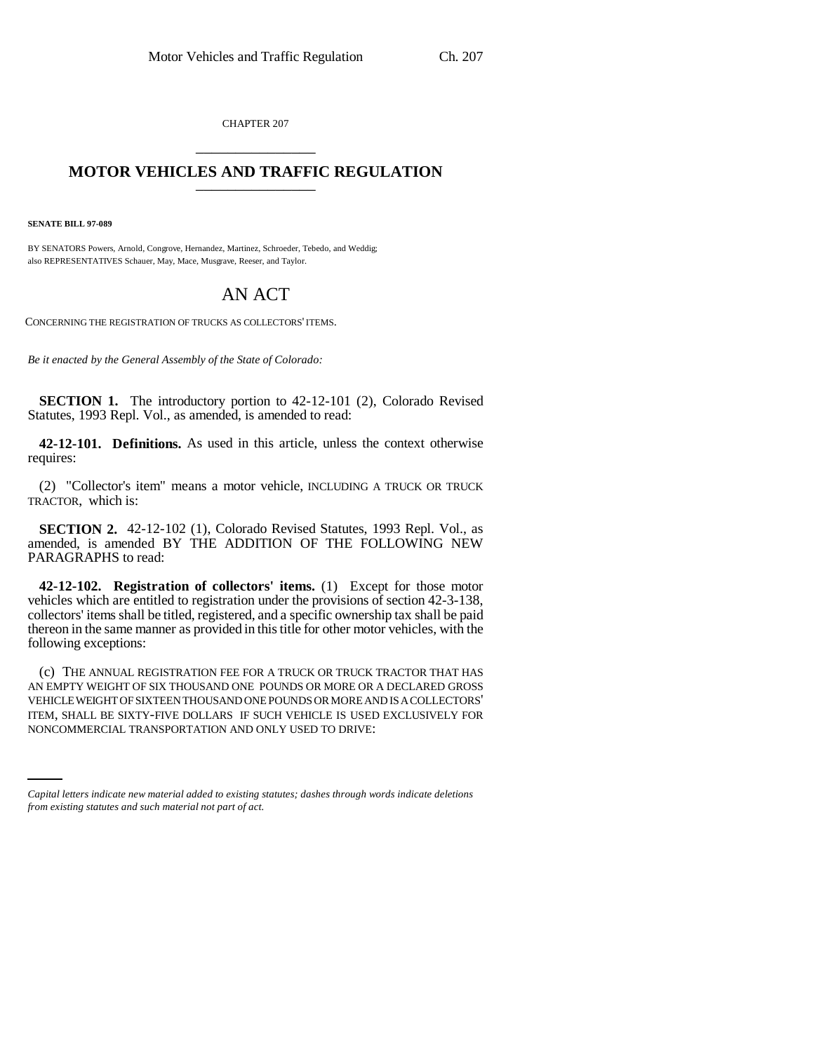CHAPTER 207 \_\_\_\_\_\_\_\_\_\_\_\_\_\_\_

## **MOTOR VEHICLES AND TRAFFIC REGULATION** \_\_\_\_\_\_\_\_\_\_\_\_\_\_\_

**SENATE BILL 97-089**

BY SENATORS Powers, Arnold, Congrove, Hernandez, Martinez, Schroeder, Tebedo, and Weddig; also REPRESENTATIVES Schauer, May, Mace, Musgrave, Reeser, and Taylor.

## AN ACT

CONCERNING THE REGISTRATION OF TRUCKS AS COLLECTORS' ITEMS.

*Be it enacted by the General Assembly of the State of Colorado:*

**SECTION 1.** The introductory portion to 42-12-101 (2), Colorado Revised Statutes, 1993 Repl. Vol., as amended, is amended to read:

**42-12-101. Definitions.** As used in this article, unless the context otherwise requires:

(2) "Collector's item" means a motor vehicle, INCLUDING A TRUCK OR TRUCK TRACTOR, which is:

**SECTION 2.** 42-12-102 (1), Colorado Revised Statutes, 1993 Repl. Vol., as amended, is amended BY THE ADDITION OF THE FOLLOWING NEW PARAGRAPHS to read:

**42-12-102. Registration of collectors' items.** (1) Except for those motor vehicles which are entitled to registration under the provisions of section 42-3-138, collectors' items shall be titled, registered, and a specific ownership tax shall be paid thereon in the same manner as provided in this title for other motor vehicles, with the following exceptions:

ITEM, SHALL BE SIXTY-FIVE DOLLARS IF SUCH VEHICLE IS USED EXCLUSIVELY FOR (c) THE ANNUAL REGISTRATION FEE FOR A TRUCK OR TRUCK TRACTOR THAT HAS AN EMPTY WEIGHT OF SIX THOUSAND ONE POUNDS OR MORE OR A DECLARED GROSS VEHICLE WEIGHT OF SIXTEEN THOUSAND ONE POUNDS OR MORE AND IS A COLLECTORS' NONCOMMERCIAL TRANSPORTATION AND ONLY USED TO DRIVE:

*Capital letters indicate new material added to existing statutes; dashes through words indicate deletions from existing statutes and such material not part of act.*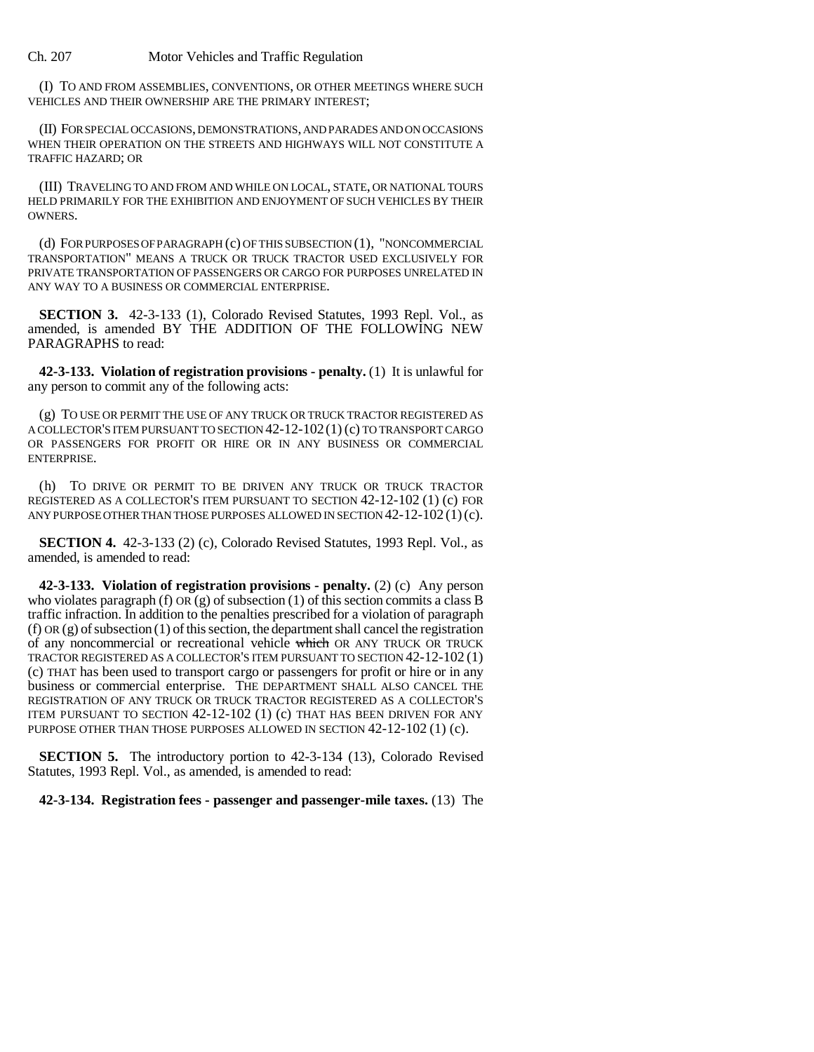Ch. 207 Motor Vehicles and Traffic Regulation

(I) TO AND FROM ASSEMBLIES, CONVENTIONS, OR OTHER MEETINGS WHERE SUCH VEHICLES AND THEIR OWNERSHIP ARE THE PRIMARY INTEREST;

(II) FOR SPECIAL OCCASIONS, DEMONSTRATIONS, AND PARADES AND ON OCCASIONS WHEN THEIR OPERATION ON THE STREETS AND HIGHWAYS WILL NOT CONSTITUTE A TRAFFIC HAZARD; OR

(III) TRAVELING TO AND FROM AND WHILE ON LOCAL, STATE, OR NATIONAL TOURS HELD PRIMARILY FOR THE EXHIBITION AND ENJOYMENT OF SUCH VEHICLES BY THEIR OWNERS.

(d) FOR PURPOSES OF PARAGRAPH (c) OF THIS SUBSECTION (1), "NONCOMMERCIAL TRANSPORTATION" MEANS A TRUCK OR TRUCK TRACTOR USED EXCLUSIVELY FOR PRIVATE TRANSPORTATION OF PASSENGERS OR CARGO FOR PURPOSES UNRELATED IN ANY WAY TO A BUSINESS OR COMMERCIAL ENTERPRISE.

**SECTION 3.** 42-3-133 (1), Colorado Revised Statutes, 1993 Repl. Vol., as amended, is amended BY THE ADDITION OF THE FOLLOWING NEW PARAGRAPHS to read:

**42-3-133. Violation of registration provisions - penalty.** (1) It is unlawful for any person to commit any of the following acts:

(g) TO USE OR PERMIT THE USE OF ANY TRUCK OR TRUCK TRACTOR REGISTERED AS A COLLECTOR'S ITEM PURSUANT TO SECTION 42-12-102(1) (c) TO TRANSPORT CARGO OR PASSENGERS FOR PROFIT OR HIRE OR IN ANY BUSINESS OR COMMERCIAL ENTERPRISE.

(h) TO DRIVE OR PERMIT TO BE DRIVEN ANY TRUCK OR TRUCK TRACTOR REGISTERED AS A COLLECTOR'S ITEM PURSUANT TO SECTION 42-12-102 (1) (c) FOR ANY PURPOSE OTHER THAN THOSE PURPOSES ALLOWED IN SECTION  $42-12-102(1)(c)$ .

**SECTION 4.** 42-3-133 (2) (c), Colorado Revised Statutes, 1993 Repl. Vol., as amended, is amended to read:

**42-3-133. Violation of registration provisions - penalty.** (2) (c) Any person who violates paragraph (f)  $OR(g)$  of subsection (1) of this section commits a class B traffic infraction. In addition to the penalties prescribed for a violation of paragraph (f) OR (g) of subsection (1) of this section, the department shall cancel the registration of any noncommercial or recreational vehicle which OR ANY TRUCK OR TRUCK TRACTOR REGISTERED AS A COLLECTOR'S ITEM PURSUANT TO SECTION 42-12-102 (1) (c) THAT has been used to transport cargo or passengers for profit or hire or in any business or commercial enterprise. THE DEPARTMENT SHALL ALSO CANCEL THE REGISTRATION OF ANY TRUCK OR TRUCK TRACTOR REGISTERED AS A COLLECTOR'S ITEM PURSUANT TO SECTION 42-12-102 (1) (c) THAT HAS BEEN DRIVEN FOR ANY PURPOSE OTHER THAN THOSE PURPOSES ALLOWED IN SECTION 42-12-102 (1) (c).

**SECTION 5.** The introductory portion to 42-3-134 (13), Colorado Revised Statutes, 1993 Repl. Vol., as amended, is amended to read:

**42-3-134. Registration fees - passenger and passenger-mile taxes.** (13) The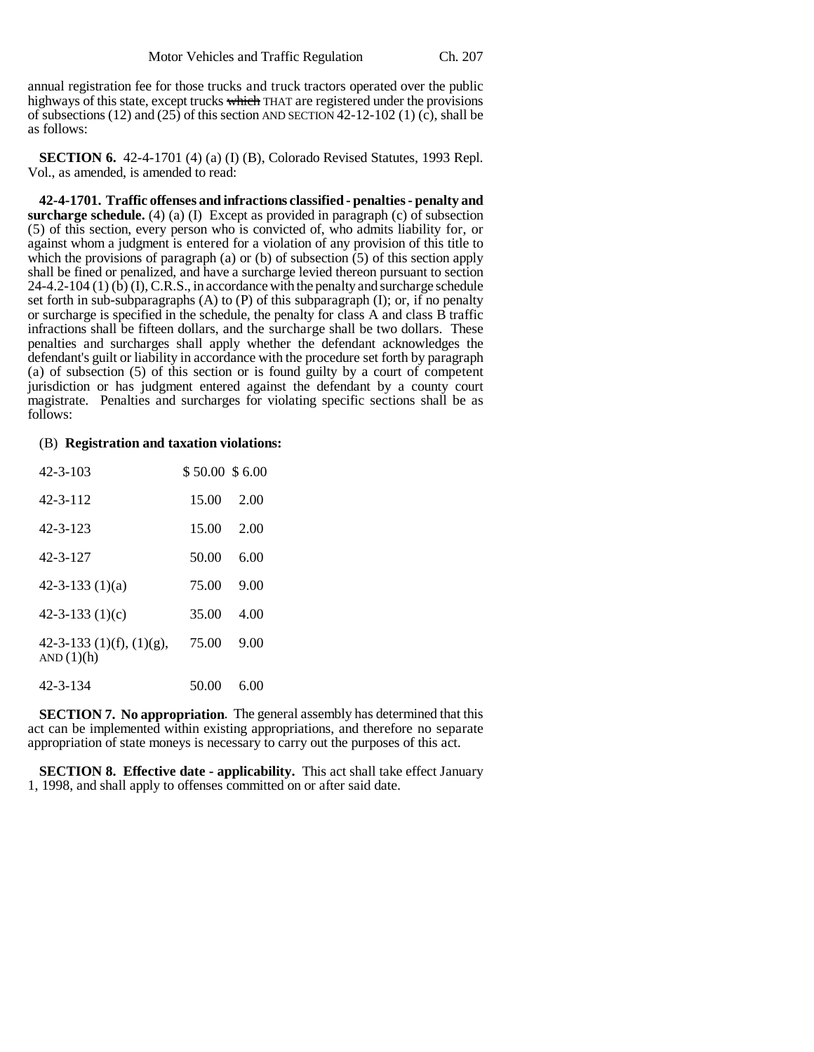annual registration fee for those trucks and truck tractors operated over the public highways of this state, except trucks which THAT are registered under the provisions of subsections (12) and (25) of this section AND SECTION 42-12-102 (1) (c), shall be as follows:

**SECTION 6.** 42-4-1701 (4) (a) (I) (B), Colorado Revised Statutes, 1993 Repl. Vol., as amended, is amended to read:

**42-4-1701. Traffic offenses and infractions classified - penalties - penalty and surcharge schedule.** (4) (a) (I) Except as provided in paragraph (c) of subsection (5) of this section, every person who is convicted of, who admits liability for, or against whom a judgment is entered for a violation of any provision of this title to which the provisions of paragraph (a) or (b) of subsection  $(5)$  of this section apply shall be fined or penalized, and have a surcharge levied thereon pursuant to section 24-4.2-104 (1) (b) (I), C.R.S., in accordance with the penalty and surcharge schedule set forth in sub-subparagraphs  $(A)$  to  $(P)$  of this subparagraph  $(I)$ ; or, if no penalty or surcharge is specified in the schedule, the penalty for class A and class B traffic infractions shall be fifteen dollars, and the surcharge shall be two dollars. These penalties and surcharges shall apply whether the defendant acknowledges the defendant's guilt or liability in accordance with the procedure set forth by paragraph (a) of subsection (5) of this section or is found guilty by a court of competent jurisdiction or has judgment entered against the defendant by a county court magistrate. Penalties and surcharges for violating specific sections shall be as follows:

## (B) **Registration and taxation violations:**

| 42-3-103                                 | \$50.00\$6.00 |      |
|------------------------------------------|---------------|------|
| $42 - 3 - 112$                           | 15.00         | 2.00 |
| $42 - 3 - 123$                           | 15.00         | 2.00 |
| $42 - 3 - 127$                           | 50.00         | 6.00 |
| $42 - 3 - 133(1)(a)$                     | 75.00         | 9.00 |
| 42-3-133 $(1)(c)$                        | 35.00         | 4.00 |
| 42-3-133 (1)(f), (1)(g),<br>AND $(1)(h)$ | 75.00         | 9.00 |
| $42 - 3 - 134$                           | 50.00         | 6.00 |

**SECTION 7. No appropriation**. The general assembly has determined that this act can be implemented within existing appropriations, and therefore no separate appropriation of state moneys is necessary to carry out the purposes of this act.

**SECTION 8. Effective date - applicability.** This act shall take effect January 1, 1998, and shall apply to offenses committed on or after said date.